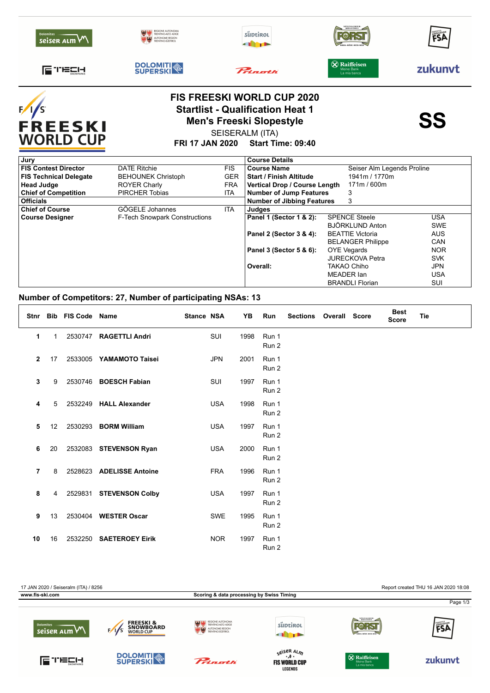| <b>Dolomites</b><br>seiser ALM     | <b>UTONOME REGIO</b><br><b>TRENTINO SÚDTIRO</b>                              | süptirol  | SPEZIALBIER<br>BRAUEREI                    | FSA     |
|------------------------------------|------------------------------------------------------------------------------|-----------|--------------------------------------------|---------|
| ETECH                              | <b>DOLOMITI</b>                                                              | Princetti | X Raiffeisen<br>Meine Bank<br>La mia banca | zukunyt |
| F/I                                | <b>FIS FREESKI WORLD CUP 2020</b><br><b>Startlist - Qualification Heat 1</b> |           |                                            |         |
| <b>FREESKI</b><br><b>WORLD CUP</b> | <b>Men's Freeski Slopestyle</b><br><b>FRI 17 JAN 2020</b>                    | SS        |                                            |         |

**FRI 17 JAN 2020 Start Time: 09:40**

| Jury                          |                                      |            | <b>Course Details</b>             |                            |            |  |  |
|-------------------------------|--------------------------------------|------------|-----------------------------------|----------------------------|------------|--|--|
| <b>FIS Contest Director</b>   | <b>DATE Ritchie</b>                  | <b>FIS</b> | <b>Course Name</b>                | Seiser Alm Legends Proline |            |  |  |
| <b>FIS Technical Delegate</b> | <b>BEHOUNEK Christoph</b>            | <b>GER</b> | <b>Start / Finish Altitude</b>    | 1941m / 1770m              |            |  |  |
| <b>Head Judge</b>             | <b>ROYER Charly</b>                  | <b>FRA</b> | Vertical Drop / Course Length     | 171m / 600m                |            |  |  |
| <b>Chief of Competition</b>   | <b>PIRCHER Tobias</b>                | ITA        | Number of Jump Features           | 3                          |            |  |  |
| <b>Officials</b>              |                                      |            | <b>Number of Jibbing Features</b> | 3                          |            |  |  |
| <b>Chief of Course</b>        | GÖGELE Johannes                      | <b>ITA</b> | Judges                            |                            |            |  |  |
| <b>Course Designer</b>        | <b>F-Tech Snowpark Constructions</b> |            | Panel 1 (Sector 1 & 2):           | <b>SPENCE Steele</b>       | USA        |  |  |
|                               |                                      |            |                                   | BJÖRKLUND Anton            | <b>SWE</b> |  |  |
|                               |                                      |            | Panel 2 (Sector 3 & 4):           | <b>BEATTIE Victoria</b>    | <b>AUS</b> |  |  |
|                               |                                      |            |                                   | <b>BELANGER Philippe</b>   | <b>CAN</b> |  |  |
|                               |                                      |            | Panel 3 (Sector 5 & 6):           | <b>OYE Vegards</b>         | <b>NOR</b> |  |  |
|                               |                                      |            |                                   | <b>JURECKOVA Petra</b>     | <b>SVK</b> |  |  |
|                               |                                      |            | Overall:                          | <b>TAKAO Chiho</b>         | <b>JPN</b> |  |  |
|                               |                                      |            |                                   | MEADER Ian                 | USA        |  |  |
|                               |                                      |            |                                   | <b>BRANDLI Florian</b>     | SUI        |  |  |

## **Number of Competitors: 27, Number of participating NSAs: 13**

|              | Stnr Bib     | <b>FIS Code</b> | Name                     | <b>Stance NSA</b> |            | YΒ   | Run                       | <b>Sections</b> | <b>Overall Score</b> | <b>Best</b><br><b>Score</b> | <b>Tie</b> |
|--------------|--------------|-----------------|--------------------------|-------------------|------------|------|---------------------------|-----------------|----------------------|-----------------------------|------------|
| 1            | $\mathbf{1}$ | 2530747         | <b>RAGETTLI Andri</b>    |                   | SUI        | 1998 | Run 1<br>Run 2            |                 |                      |                             |            |
| $\mathbf{2}$ | 17           | 2533005         | YAMAMOTO Taisei          |                   | <b>JPN</b> | 2001 | Run 1<br>Run 2            |                 |                      |                             |            |
| 3            | 9            | 2530746         | <b>BOESCH Fabian</b>     |                   | SUI        | 1997 | Run 1<br>Run 2            |                 |                      |                             |            |
| 4            | 5            | 2532249         | <b>HALL Alexander</b>    |                   | <b>USA</b> | 1998 | Run 1<br>Run 2            |                 |                      |                             |            |
| 5            | 12           | 2530293         | <b>BORM William</b>      |                   | <b>USA</b> | 1997 | Run 1<br>Run 2            |                 |                      |                             |            |
| 6            | 20           |                 | 2532083 STEVENSON Ryan   |                   | <b>USA</b> | 2000 | Run 1<br>Run 2            |                 |                      |                             |            |
| 7            | 8            |                 | 2528623 ADELISSE Antoine |                   | <b>FRA</b> | 1996 | Run 1<br>Run 2            |                 |                      |                             |            |
| 8            | 4            |                 | 2529831 STEVENSON Colby  |                   | <b>USA</b> | 1997 | Run 1<br>Run 2            |                 |                      |                             |            |
| 9            | 13           | 2530404         | <b>WESTER Oscar</b>      |                   | <b>SWE</b> | 1995 | Run 1<br>Run 2            |                 |                      |                             |            |
| 10           | 16           | 2532250         | <b>SAETEROEY Eirik</b>   |                   | <b>NOR</b> | 1997 | Run 1<br>Run <sub>2</sub> |                 |                      |                             |            |

17 JAN 2020 / Seiseralm (ITA) / 8256 Report created THU 16 JAN 2020 18:08 **www.fis-ski.com Scoring & data processing by Swiss Timing** Page 1/3**FREESKI &<br>SNOWBOARD**<br>WORLD CUP süptirol **FOR ST**  $F/\sqrt{s}$ seiser ALM **THEFT** s<sup>eiser Al</sup>m<br>**FIS WORLD CUP DOLOMITI** FUELI-**& Raiffeisen** Prinath zukunvt **LEGENDS**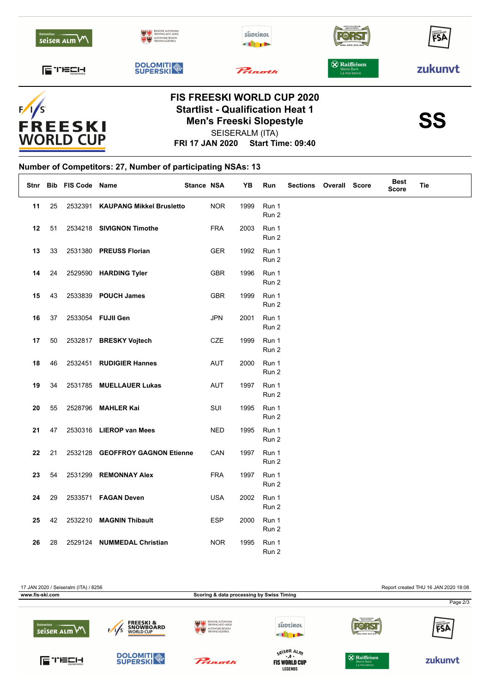



## **FRI 17 JAN 2020 Start Time: 09:40 Startlist - Qualification Heat 1**<br>Men's Freeski Slopestyle<br>SS SEISERALM (ITA) **Men's Freeski Slopestyle**



## **Number of Competitors: 27, Number of participating NSAs: 13**

| Stnr |    | Bib FIS Code Name |                                 | Stance NSA |            | YΒ   | Run            | <b>Sections</b> | <b>Overall Score</b> | <b>Best</b><br><b>Score</b> | <b>Tie</b> |
|------|----|-------------------|---------------------------------|------------|------------|------|----------------|-----------------|----------------------|-----------------------------|------------|
| 11   | 25 | 2532391           | <b>KAUPANG Mikkel Brusletto</b> |            | <b>NOR</b> | 1999 | Run 1<br>Run 2 |                 |                      |                             |            |
| 12   | 51 |                   | 2534218 SIVIGNON Timothe        |            | <b>FRA</b> | 2003 | Run 1<br>Run 2 |                 |                      |                             |            |
| 13   | 33 |                   | 2531380 PREUSS Florian          |            | <b>GER</b> | 1992 | Run 1<br>Run 2 |                 |                      |                             |            |
| 14   | 24 |                   | 2529590 HARDING Tyler           |            | GBR        | 1996 | Run 1<br>Run 2 |                 |                      |                             |            |
| 15   | 43 |                   | 2533839 POUCH James             |            | GBR        | 1999 | Run 1<br>Run 2 |                 |                      |                             |            |
| 16   | 37 |                   | 2533054 FUJII Gen               |            | <b>JPN</b> | 2001 | Run 1<br>Run 2 |                 |                      |                             |            |
| 17   | 50 |                   | 2532817 BRESKY Vojtech          |            | CZE        | 1999 | Run 1<br>Run 2 |                 |                      |                             |            |
| 18   | 46 |                   | 2532451 RUDIGIER Hannes         |            | <b>AUT</b> | 2000 | Run 1<br>Run 2 |                 |                      |                             |            |
| 19   | 34 |                   | 2531785 MUELLAUER Lukas         |            | <b>AUT</b> | 1997 | Run 1<br>Run 2 |                 |                      |                             |            |
| 20   | 55 |                   | 2528796 MAHLER Kai              |            | SUI        | 1995 | Run 1<br>Run 2 |                 |                      |                             |            |
| 21   | 47 |                   | 2530316 LIEROP van Mees         |            | <b>NED</b> | 1995 | Run 1<br>Run 2 |                 |                      |                             |            |
| 22   | 21 |                   | 2532128 GEOFFROY GAGNON Etienne |            | CAN        | 1997 | Run 1<br>Run 2 |                 |                      |                             |            |
| 23   | 54 |                   | 2531299 REMONNAY Alex           |            | <b>FRA</b> | 1997 | Run 1<br>Run 2 |                 |                      |                             |            |
| 24   | 29 |                   | 2533571 FAGAN Deven             |            | <b>USA</b> | 2002 | Run 1<br>Run 2 |                 |                      |                             |            |
| 25   | 42 |                   | 2532210 MAGNIN Thibault         |            | <b>ESP</b> | 2000 | Run 1<br>Run 2 |                 |                      |                             |            |
| 26   | 28 | 2529124           | <b>NUMMEDAL Christian</b>       |            | <b>NOR</b> | 1995 | Run 1<br>Run 2 |                 |                      |                             |            |

17 JAN 2020 / Seiseralm (ITA) / 8256 Report created THU 16 JAN 2020 18:08 **www.fis-ski.com Scoring & data processing by Swiss Timing** Page 2/3**FREESKI &<br>SNOWBOARD**<br>WORLD CUP süptirol **FOR ST** ËCA seiser  $\lambda$ Lm $\forall$ EÁ **THEFT** s<sup>eiser Al</sup>m<br>**FIS WORLD CUP DOLOMITI ETECH &** Raiffeisen Prinoth zukunvt **LEGENDS**